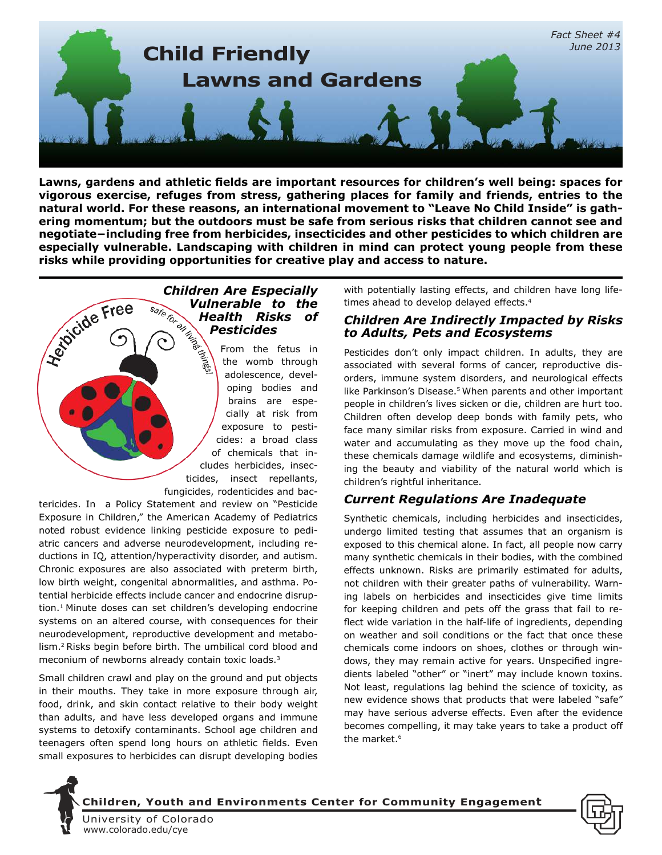

**Lawns, gardens and athletic fields are important resources for children's well being: spaces for vigorous exercise, refuges from stress, gathering places for family and friends, entries to the natural world. For these reasons, an international movement to "Leave No Child Inside" is gathering momentum; but the outdoors must be safe from serious risks that children cannot see and negotiate−including free from herbicides, insecticides and other pesticides to which children are especially vulnerable. Landscaping with children in mind can protect young people from these risks while providing opportunities for creative play and access to nature.** 

# **Children Are Especially<br>
<b>Vulnerable to the**<br> **Health Risks of<br>
Pesticides**<br>
A through<br>
A through<br>
Computer of the fetus in<br>
A through *Vulnerable to the Health Risks of Pesticides*

From the fetus in the womb through adolescence, developing bodies and brains are especially at risk from exposure to pesticides: a broad class of chemicals that includes herbicides, insecticides, insect repellants, fungicides, rodenticides and bac-

tericides. In a Policy Statement and review on "Pesticide Exposure in Children," the American Academy of Pediatrics noted robust evidence linking pesticide exposure to pediatric cancers and adverse neurodevelopment, including reductions in IQ, attention/hyperactivity disorder, and autism. Chronic exposures are also associated with preterm birth, low birth weight, congenital abnormalities, and asthma. Potential herbicide effects include cancer and endocrine disruption.<sup>1</sup> Minute doses can set children's developing endocrine systems on an altered course, with consequences for their neurodevelopment, reproductive development and metabolism.<sup>2</sup> Risks begin before birth. The umbilical cord blood and meconium of newborns already contain toxic loads.<sup>3</sup>

Small children crawl and play on the ground and put objects in their mouths. They take in more exposure through air, food, drink, and skin contact relative to their body weight than adults, and have less developed organs and immune systems to detoxify contaminants. School age children and teenagers often spend long hours on athletic fields. Even small exposures to herbicides can disrupt developing bodies with potentially lasting effects, and children have long lifetimes ahead to develop delayed effects.<sup>4</sup>

#### *Children Are Indirectly Impacted by Risks to Adults, Pets and Ecosystems*

Pesticides don't only impact children. In adults, they are associated with several forms of cancer, reproductive disorders, immune system disorders, and neurological effects like Parkinson's Disease.<sup>5</sup> When parents and other important people in children's lives sicken or die, children are hurt too. Children often develop deep bonds with family pets, who face many similar risks from exposure. Carried in wind and water and accumulating as they move up the food chain, these chemicals damage wildlife and ecosystems, diminishing the beauty and viability of the natural world which is children's rightful inheritance.

## *Current Regulations Are Inadequate*

Synthetic chemicals, including herbicides and insecticides, undergo limited testing that assumes that an organism is exposed to this chemical alone. In fact, all people now carry many synthetic chemicals in their bodies, with the combined effects unknown. Risks are primarily estimated for adults, not children with their greater paths of vulnerability. Warning labels on herbicides and insecticides give time limits for keeping children and pets off the grass that fail to reflect wide variation in the half-life of ingredients, depending on weather and soil conditions or the fact that once these chemicals come indoors on shoes, clothes or through windows, they may remain active for years. Unspecified ingredients labeled "other" or "inert" may include known toxins. Not least, regulations lag behind the science of toxicity, as new evidence shows that products that were labeled "safe" may have serious adverse effects. Even after the evidence becomes compelling, it may take years to take a product off the market.<sup>6</sup>



**Herbicide Free** 

**Children, Youth and Environments Center for Community Engagement**